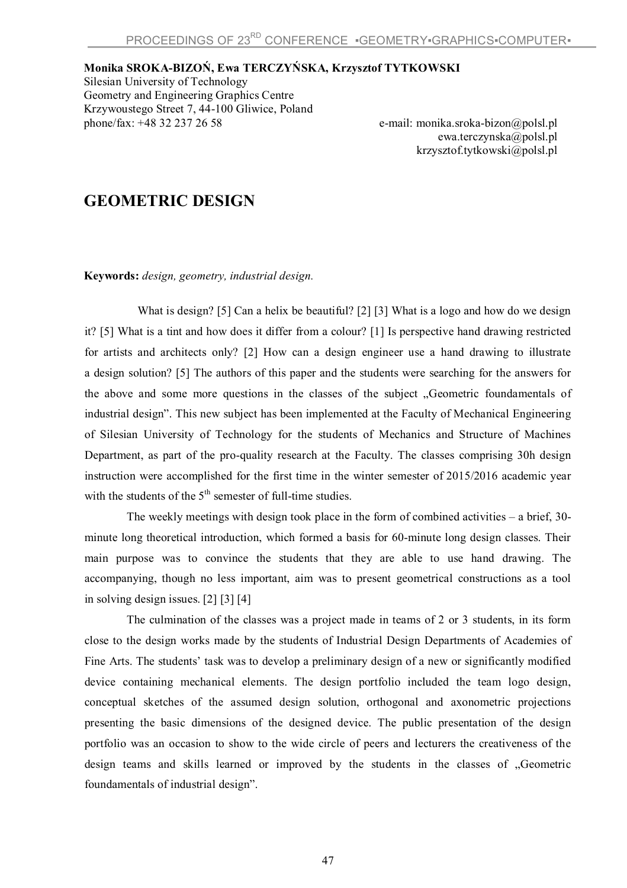## **Monika SROKA-BIZOŃ, Ewa TERCZYŃSKA, Krzysztof TYTKOWSKI**

Silesian University of Technology Geometry and Engineering Graphics Centre Krzywoustego Street 7, 44-100 Gliwice, Poland<br>phone/fax: +48 32 237 26 58

e-mail: monika.sroka-bizon@polsl.pl ewa.terczynska@polsl.pl krzysztof.tytkowski@polsl.pl

## **GEOMETRIC DESIGN**

**Keywords:** *design, geometry, industrial design.*

What is design? [5] Can a helix be beautiful? [2] [3] What is a logo and how do we design it? [5] What is a tint and how does it differ from a colour? [1] Is perspective hand drawing restricted for artists and architects only? [2] How can a design engineer use a hand drawing to illustrate a design solution? [5] The authors of this paper and the students were searching for the answers for the above and some more questions in the classes of the subject "Geometric foundamentals of industrial design". This new subject has been implemented at the Faculty of Mechanical Engineering of Silesian University of Technology for the students of Mechanics and Structure of Machines Department, as part of the pro-quality research at the Faculty. The classes comprising 30h design instruction were accomplished for the first time in the winter semester of 2015/2016 academic year with the students of the  $5<sup>th</sup>$  semester of full-time studies.

The weekly meetings with design took place in the form of combined activities – a brief, 30 minute long theoretical introduction, which formed a basis for 60-minute long design classes. Their main purpose was to convince the students that they are able to use hand drawing. The accompanying, though no less important, aim was to present geometrical constructions as a tool in solving design issues. [2] [3] [4]

The culmination of the classes was a project made in teams of 2 or 3 students, in its form close to the design works made by the students of Industrial Design Departments of Academies of Fine Arts. The students' task was to develop a preliminary design of a new or significantly modified device containing mechanical elements. The design portfolio included the team logo design, conceptual sketches of the assumed design solution, orthogonal and axonometric projections presenting the basic dimensions of the designed device. The public presentation of the design portfolio was an occasion to show to the wide circle of peers and lecturers the creativeness of the design teams and skills learned or improved by the students in the classes of "Geometric foundamentals of industrial design".